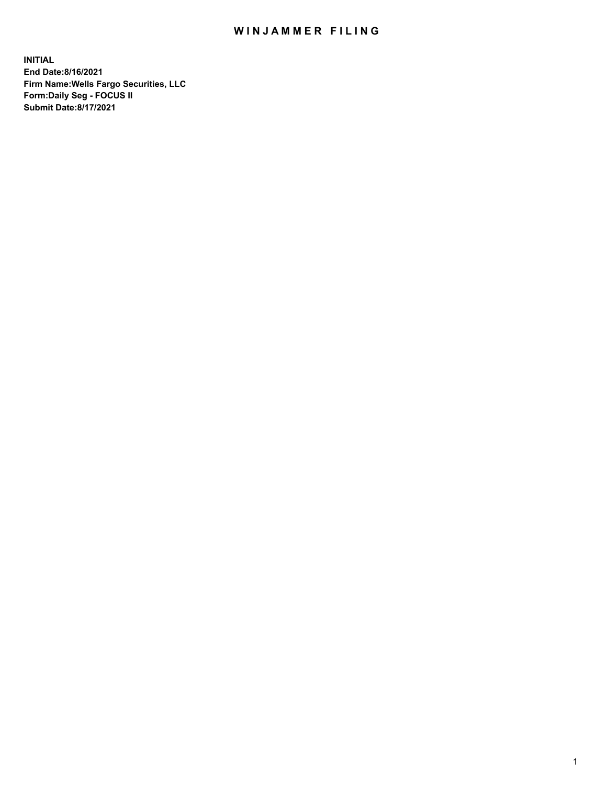## WIN JAMMER FILING

**INITIAL End Date:8/16/2021 Firm Name:Wells Fargo Securities, LLC Form:Daily Seg - FOCUS II Submit Date:8/17/2021**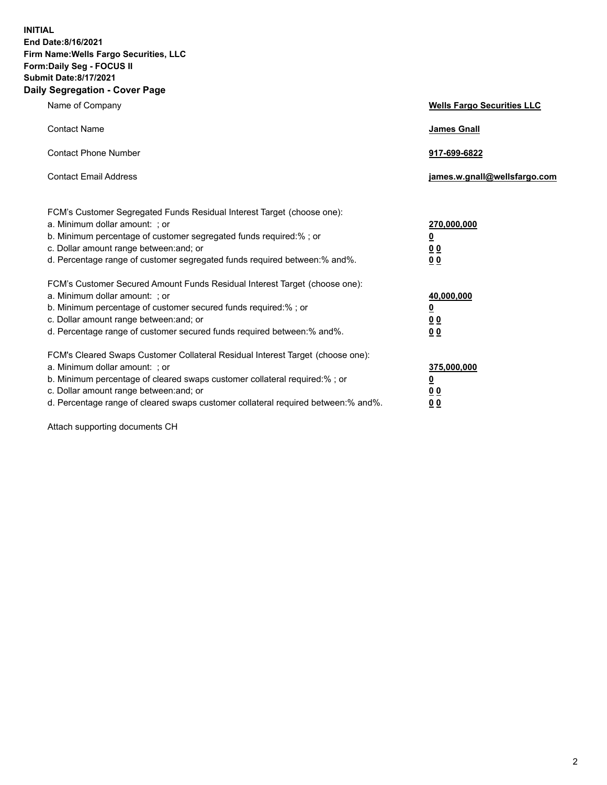**INITIAL End Date:8/16/2021 Firm Name:Wells Fargo Securities, LLC Form:Daily Seg - FOCUS II Submit Date:8/17/2021 Daily Segregation - Cover Page**

| Name of Company                                                                                                                                                                                                                                                                                                                | <b>Wells Fargo Securities LLC</b>                                          |
|--------------------------------------------------------------------------------------------------------------------------------------------------------------------------------------------------------------------------------------------------------------------------------------------------------------------------------|----------------------------------------------------------------------------|
| <b>Contact Name</b>                                                                                                                                                                                                                                                                                                            | <b>James Gnall</b>                                                         |
| <b>Contact Phone Number</b>                                                                                                                                                                                                                                                                                                    | 917-699-6822                                                               |
| <b>Contact Email Address</b>                                                                                                                                                                                                                                                                                                   | james.w.gnall@wellsfargo.com                                               |
| FCM's Customer Segregated Funds Residual Interest Target (choose one):<br>a. Minimum dollar amount: ; or<br>b. Minimum percentage of customer segregated funds required:% ; or<br>c. Dollar amount range between: and; or<br>d. Percentage range of customer segregated funds required between:% and%.                         | 270,000,000<br>$\underline{\mathbf{0}}$<br>00<br>00                        |
| FCM's Customer Secured Amount Funds Residual Interest Target (choose one):<br>a. Minimum dollar amount: ; or<br>b. Minimum percentage of customer secured funds required:%; or<br>c. Dollar amount range between: and; or<br>d. Percentage range of customer secured funds required between: % and %.                          | 40,000,000<br>$\underline{\mathbf{0}}$<br>0 <sub>0</sub><br>0 <sub>0</sub> |
| FCM's Cleared Swaps Customer Collateral Residual Interest Target (choose one):<br>a. Minimum dollar amount: ; or<br>b. Minimum percentage of cleared swaps customer collateral required:% ; or<br>c. Dollar amount range between: and; or<br>d. Percentage range of cleared swaps customer collateral required between:% and%. | 375,000,000<br><u>0</u><br>00<br><u>00</u>                                 |

Attach supporting documents CH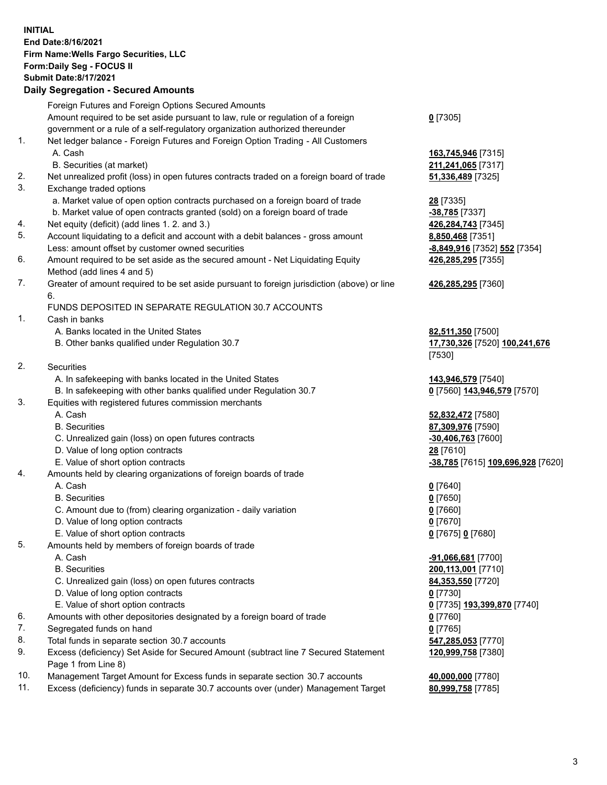**INITIAL End Date:8/16/2021 Firm Name:Wells Fargo Securities, LLC Form:Daily Seg - FOCUS II Submit Date:8/17/2021**

## **Daily Segregation - Secured Amounts**

|    | Foreign Futures and Foreign Options Secured Amounts                                         |                                   |
|----|---------------------------------------------------------------------------------------------|-----------------------------------|
|    | Amount required to be set aside pursuant to law, rule or regulation of a foreign            | $0$ [7305]                        |
|    | government or a rule of a self-regulatory organization authorized thereunder                |                                   |
| 1. | Net ledger balance - Foreign Futures and Foreign Option Trading - All Customers             |                                   |
|    | A. Cash                                                                                     | 163,745,946 [7315]                |
|    | B. Securities (at market)                                                                   | 211,241,065 [7317]                |
| 2. | Net unrealized profit (loss) in open futures contracts traded on a foreign board of trade   | <b>51,336,489</b> [7325]          |
| 3. | Exchange traded options                                                                     |                                   |
|    | a. Market value of open option contracts purchased on a foreign board of trade              | 28 [7335]                         |
|    | b. Market value of open contracts granted (sold) on a foreign board of trade                | -38,785 [7337]                    |
| 4. | Net equity (deficit) (add lines 1. 2. and 3.)                                               | 426,284,743 [7345]                |
| 5. | Account liquidating to a deficit and account with a debit balances - gross amount           | 8,850,468 [7351]                  |
|    | Less: amount offset by customer owned securities                                            | -8,849,916 [7352] 552 [7354]      |
| 6. | Amount required to be set aside as the secured amount - Net Liquidating Equity              | 426,285,295 [7355]                |
|    | Method (add lines 4 and 5)                                                                  |                                   |
| 7. | Greater of amount required to be set aside pursuant to foreign jurisdiction (above) or line | 426,285,295 [7360]                |
|    | 6.                                                                                          |                                   |
|    | FUNDS DEPOSITED IN SEPARATE REGULATION 30.7 ACCOUNTS                                        |                                   |
| 1. | Cash in banks                                                                               |                                   |
|    | A. Banks located in the United States                                                       | 82,511,350 [7500]                 |
|    | B. Other banks qualified under Regulation 30.7                                              | 17,730,326 [7520] 100,241,676     |
|    |                                                                                             | [7530]                            |
| 2. | <b>Securities</b>                                                                           |                                   |
|    | A. In safekeeping with banks located in the United States                                   | 143,946,579 [7540]                |
|    | B. In safekeeping with other banks qualified under Regulation 30.7                          | 0 [7560] 143,946,579 [7570]       |
| 3. | Equities with registered futures commission merchants                                       |                                   |
|    | A. Cash                                                                                     | 52,832,472 [7580]                 |
|    | <b>B.</b> Securities                                                                        | 87,309,976 [7590]                 |
|    | C. Unrealized gain (loss) on open futures contracts                                         | -30,406,763 [7600]                |
|    | D. Value of long option contracts                                                           | 28 [7610]                         |
|    | E. Value of short option contracts                                                          | -38,785 [7615] 109,696,928 [7620] |
| 4. | Amounts held by clearing organizations of foreign boards of trade                           |                                   |
|    | A. Cash                                                                                     | $0$ [7640]                        |
|    | <b>B.</b> Securities                                                                        | $0$ [7650]                        |
|    | C. Amount due to (from) clearing organization - daily variation                             | $0$ [7660]                        |
|    | D. Value of long option contracts                                                           | $0$ [7670]                        |
|    | E. Value of short option contracts                                                          | 0 [7675] 0 [7680]                 |
| 5. | Amounts held by members of foreign boards of trade                                          |                                   |
|    | A. Cash                                                                                     | $-91,066,681$ [7700]              |
|    | <b>B.</b> Securities                                                                        | 200,113,001 [7710]                |
|    | C. Unrealized gain (loss) on open futures contracts                                         | 84,353,550 [7720]                 |
|    | D. Value of long option contracts                                                           | $0$ [7730]                        |
|    | E. Value of short option contracts                                                          | 0 [7735] 193,399,870 [7740]       |
| 6. | Amounts with other depositories designated by a foreign board of trade                      | 0 [7760]                          |
| 7. | Segregated funds on hand                                                                    | $0$ [7765]                        |
| 8. | Total funds in separate section 30.7 accounts                                               | 547,285,053 [7770]                |
| 9. | Excess (deficiency) Set Aside for Secured Amount (subtract line 7 Secured Statement         | 120,999,758 [7380]                |
|    | Page 1 from Line 8)                                                                         |                                   |
|    |                                                                                             |                                   |

- 10. Management Target Amount for Excess funds in separate section 30.7 accounts **40,000,000** [7780]
- 11. Excess (deficiency) funds in separate 30.7 accounts over (under) Management Target **80,999,758** [7785]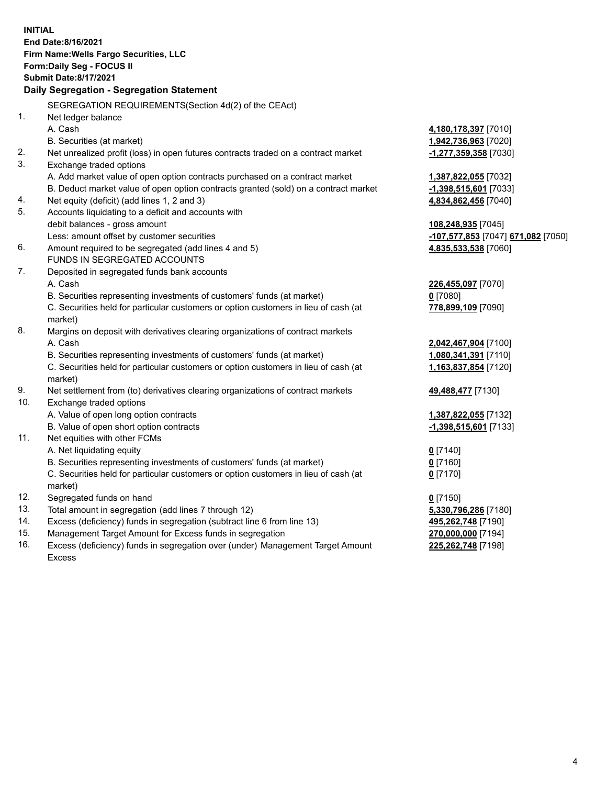**INITIAL End Date:8/16/2021 Firm Name:Wells Fargo Securities, LLC Form:Daily Seg - FOCUS II Submit Date:8/17/2021 Daily Segregation - Segregation Statement** SEGREGATION REQUIREMENTS(Section 4d(2) of the CEAct) 1. Net ledger balance A. Cash **4,180,178,397** [7010] B. Securities (at market) **1,942,736,963** [7020] 2. Net unrealized profit (loss) in open futures contracts traded on a contract market **-1,277,359,358** [7030] 3. Exchange traded options A. Add market value of open option contracts purchased on a contract market **1,387,822,055** [7032] B. Deduct market value of open option contracts granted (sold) on a contract market **-1,398,515,601** [7033] 4. Net equity (deficit) (add lines 1, 2 and 3) **4,834,862,456** [7040] 5. Accounts liquidating to a deficit and accounts with debit balances - gross amount **108,248,935** [7045] Less: amount offset by customer securities **-107,577,853** [7047] **671,082** [7050] 6. Amount required to be segregated (add lines 4 and 5) **4,835,533,538** [7060] FUNDS IN SEGREGATED ACCOUNTS 7. Deposited in segregated funds bank accounts A. Cash **226,455,097** [7070] B. Securities representing investments of customers' funds (at market) **0** [7080] C. Securities held for particular customers or option customers in lieu of cash (at market) **778,899,109** [7090] 8. Margins on deposit with derivatives clearing organizations of contract markets A. Cash **2,042,467,904** [7100] B. Securities representing investments of customers' funds (at market) **1,080,341,391** [7110] C. Securities held for particular customers or option customers in lieu of cash (at market) **1,163,837,854** [7120] 9. Net settlement from (to) derivatives clearing organizations of contract markets **49,488,477** [7130] 10. Exchange traded options A. Value of open long option contracts **1,387,822,055** [7132] B. Value of open short option contracts **-1,398,515,601** [7133] 11. Net equities with other FCMs A. Net liquidating equity **0** [7140] B. Securities representing investments of customers' funds (at market) **0** [7160] C. Securities held for particular customers or option customers in lieu of cash (at market) **0** [7170] 12. Segregated funds on hand **0** [7150] 13. Total amount in segregation (add lines 7 through 12) **5,330,796,286** [7180] 14. Excess (deficiency) funds in segregation (subtract line 6 from line 13) **495,262,748** [7190] 15. Management Target Amount for Excess funds in segregation **270,000,000** [7194] 16. Excess (deficiency) funds in segregation over (under) Management Target Amount **225,262,748** [7198]

Excess